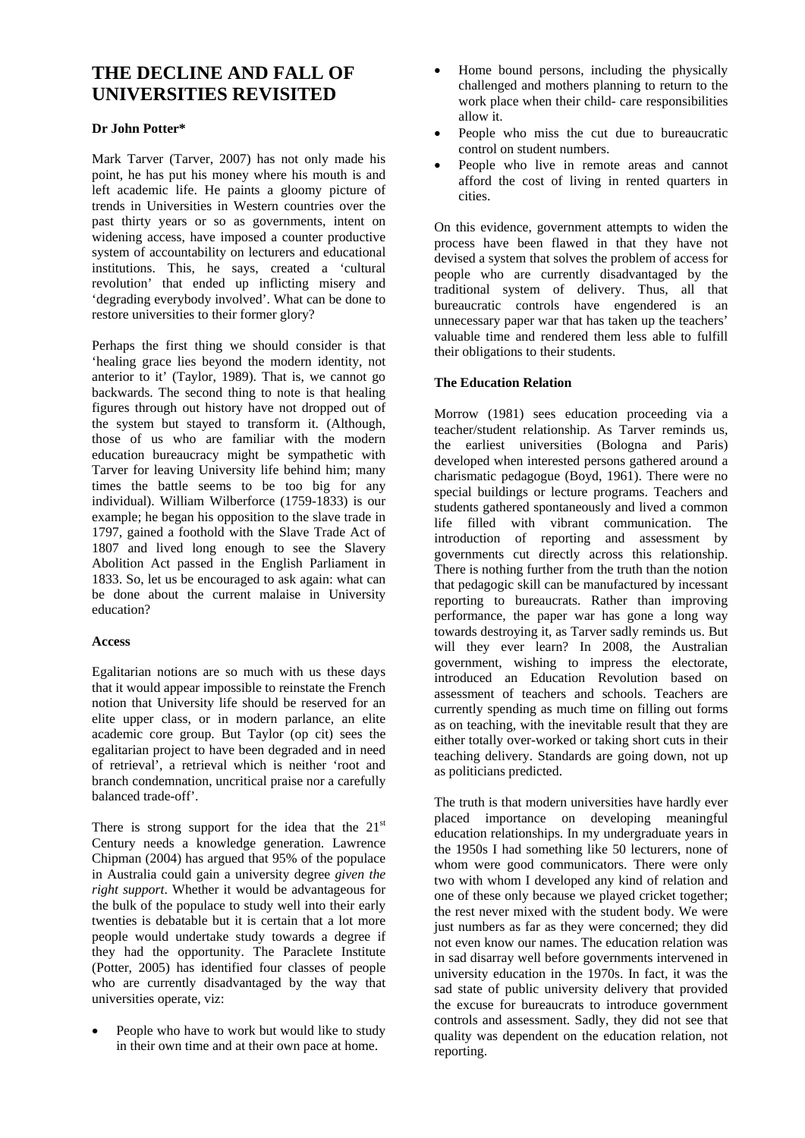# **THE DECLINE AND FALL OF UNIVERSITIES REVISITED**

## **Dr John Potter\***

Mark Tarver (Tarver, 2007) has not only made his point, he has put his money where his mouth is and left academic life. He paints a gloomy picture of trends in Universities in Western countries over the past thirty years or so as governments, intent on widening access, have imposed a counter productive system of accountability on lecturers and educational institutions. This, he says, created a 'cultural revolution' that ended up inflicting misery and 'degrading everybody involved'. What can be done to restore universities to their former glory?

Perhaps the first thing we should consider is that 'healing grace lies beyond the modern identity, not anterior to it' (Taylor, 1989). That is, we cannot go backwards. The second thing to note is that healing figures through out history have not dropped out of the system but stayed to transform it. (Although, those of us who are familiar with the modern education bureaucracy might be sympathetic with Tarver for leaving University life behind him; many times the battle seems to be too big for any individual). William Wilberforce (1759-1833) is our example; he began his opposition to the slave trade in 1797, gained a foothold with the Slave Trade Act of 1807 and lived long enough to see the Slavery Abolition Act passed in the English Parliament in 1833. So, let us be encouraged to ask again: what can be done about the current malaise in University education?

## **Access**

Egalitarian notions are so much with us these days that it would appear impossible to reinstate the French notion that University life should be reserved for an elite upper class, or in modern parlance, an elite academic core group. But Taylor (op cit) sees the egalitarian project to have been degraded and in need of retrieval', a retrieval which is neither 'root and branch condemnation, uncritical praise nor a carefully balanced trade-off'.

There is strong support for the idea that the  $21<sup>st</sup>$ Century needs a knowledge generation. Lawrence Chipman (2004) has argued that 95% of the populace in Australia could gain a university degree *given the right support*. Whether it would be advantageous for the bulk of the populace to study well into their early twenties is debatable but it is certain that a lot more people would undertake study towards a degree if they had the opportunity. The Paraclete Institute (Potter, 2005) has identified four classes of people who are currently disadvantaged by the way that universities operate, viz:

People who have to work but would like to study in their own time and at their own pace at home.

- Home bound persons, including the physically challenged and mothers planning to return to the work place when their child- care responsibilities allow it.
- People who miss the cut due to bureaucratic control on student numbers.
- People who live in remote areas and cannot afford the cost of living in rented quarters in cities.

On this evidence, government attempts to widen the process have been flawed in that they have not devised a system that solves the problem of access for people who are currently disadvantaged by the traditional system of delivery. Thus, all that bureaucratic controls have engendered is an unnecessary paper war that has taken up the teachers' valuable time and rendered them less able to fulfill their obligations to their students.

## **The Education Relation**

Morrow (1981) sees education proceeding via a teacher/student relationship. As Tarver reminds us, the earliest universities (Bologna and Paris) developed when interested persons gathered around a charismatic pedagogue (Boyd, 1961). There were no special buildings or lecture programs. Teachers and students gathered spontaneously and lived a common life filled with vibrant communication. The introduction of reporting and assessment by governments cut directly across this relationship. There is nothing further from the truth than the notion that pedagogic skill can be manufactured by incessant reporting to bureaucrats. Rather than improving performance, the paper war has gone a long way towards destroying it, as Tarver sadly reminds us. But will they ever learn? In 2008, the Australian government, wishing to impress the electorate, introduced an Education Revolution based on assessment of teachers and schools. Teachers are currently spending as much time on filling out forms as on teaching, with the inevitable result that they are either totally over-worked or taking short cuts in their teaching delivery. Standards are going down, not up as politicians predicted.

The truth is that modern universities have hardly ever placed importance on developing meaningful education relationships. In my undergraduate years in the 1950s I had something like 50 lecturers, none of whom were good communicators. There were only two with whom I developed any kind of relation and one of these only because we played cricket together; the rest never mixed with the student body. We were just numbers as far as they were concerned; they did not even know our names. The education relation was in sad disarray well before governments intervened in university education in the 1970s. In fact, it was the sad state of public university delivery that provided the excuse for bureaucrats to introduce government controls and assessment. Sadly, they did not see that quality was dependent on the education relation, not reporting.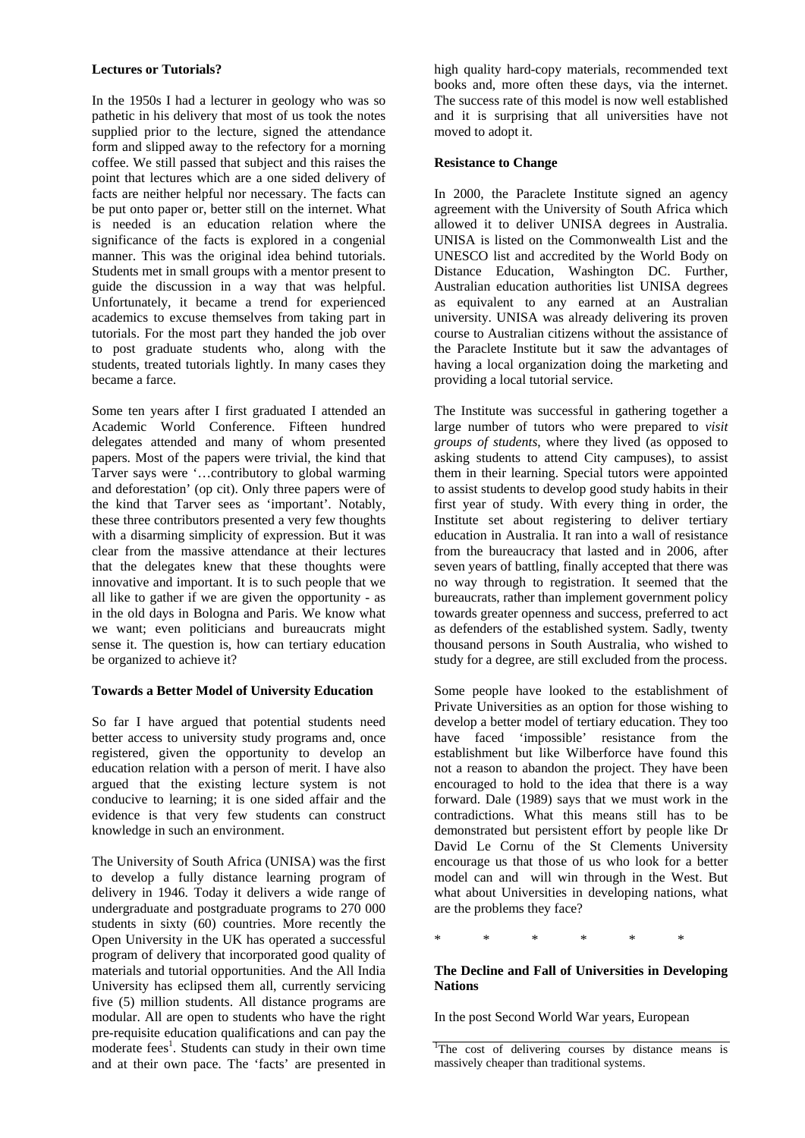## **Lectures or Tutorials?**

In the 1950s I had a lecturer in geology who was so pathetic in his delivery that most of us took the notes supplied prior to the lecture, signed the attendance form and slipped away to the refectory for a morning coffee. We still passed that subject and this raises the point that lectures which are a one sided delivery of facts are neither helpful nor necessary. The facts can be put onto paper or, better still on the internet. What is needed is an education relation where the significance of the facts is explored in a congenial manner. This was the original idea behind tutorials. Students met in small groups with a mentor present to guide the discussion in a way that was helpful. Unfortunately, it became a trend for experienced academics to excuse themselves from taking part in tutorials. For the most part they handed the job over to post graduate students who, along with the students, treated tutorials lightly. In many cases they became a farce.

Some ten years after I first graduated I attended an Academic World Conference. Fifteen hundred delegates attended and many of whom presented papers. Most of the papers were trivial, the kind that Tarver says were '…contributory to global warming and deforestation' (op cit). Only three papers were of the kind that Tarver sees as 'important'. Notably, these three contributors presented a very few thoughts with a disarming simplicity of expression. But it was clear from the massive attendance at their lectures that the delegates knew that these thoughts were innovative and important. It is to such people that we all like to gather if we are given the opportunity - as in the old days in Bologna and Paris. We know what we want; even politicians and bureaucrats might sense it. The question is, how can tertiary education be organized to achieve it?

#### **Towards a Better Model of University Education**

So far I have argued that potential students need better access to university study programs and, once registered, given the opportunity to develop an education relation with a person of merit. I have also argued that the existing lecture system is not conducive to learning; it is one sided affair and the evidence is that very few students can construct knowledge in such an environment.

The University of South Africa (UNISA) was the first to develop a fully distance learning program of delivery in 1946. Today it delivers a wide range of undergraduate and postgraduate programs to 270 000 students in sixty (60) countries. More recently the Open University in the UK has operated a successful program of delivery that incorporated good quality of materials and tutorial opportunities. And the All India University has eclipsed them all, currently servicing five (5) million students. All distance programs are modular. All are open to students who have the right pre-requisite education qualifications and can pay the moderate fees<sup>1</sup>. Students can study in their own time and at their own pace. The 'facts' are presented in

high quality hard-copy materials, recommended text books and, more often these days, via the internet. The success rate of this model is now well established and it is surprising that all universities have not moved to adopt it.

#### **Resistance to Change**

In 2000, the Paraclete Institute signed an agency agreement with the University of South Africa which allowed it to deliver UNISA degrees in Australia. UNISA is listed on the Commonwealth List and the UNESCO list and accredited by the World Body on Distance Education, Washington DC. Further, Australian education authorities list UNISA degrees as equivalent to any earned at an Australian university. UNISA was already delivering its proven course to Australian citizens without the assistance of the Paraclete Institute but it saw the advantages of having a local organization doing the marketing and providing a local tutorial service.

The Institute was successful in gathering together a large number of tutors who were prepared to *visit groups of students*, where they lived (as opposed to asking students to attend City campuses), to assist them in their learning. Special tutors were appointed to assist students to develop good study habits in their first year of study. With every thing in order, the Institute set about registering to deliver tertiary education in Australia. It ran into a wall of resistance from the bureaucracy that lasted and in 2006, after seven years of battling, finally accepted that there was no way through to registration. It seemed that the bureaucrats, rather than implement government policy towards greater openness and success, preferred to act as defenders of the established system. Sadly, twenty thousand persons in South Australia, who wished to study for a degree, are still excluded from the process.

Some people have looked to the establishment of Private Universities as an option for those wishing to develop a better model of tertiary education. They too have faced 'impossible' resistance from the establishment but like Wilberforce have found this not a reason to abandon the project. They have been encouraged to hold to the idea that there is a way forward. Dale (1989) says that we must work in the contradictions. What this means still has to be demonstrated but persistent effort by people like Dr David Le Cornu of the St Clements University encourage us that those of us who look for a better model can and will win through in the West. But what about Universities in developing nations, what are the problems they face?

\* \* \* \* \* \*

## **The Decline and Fall of Universities in Developing Nations**

In the post Second World War years, European

<sup>&</sup>lt;sup>1</sup>The cost of delivering courses by distance means is massively cheaper than traditional systems.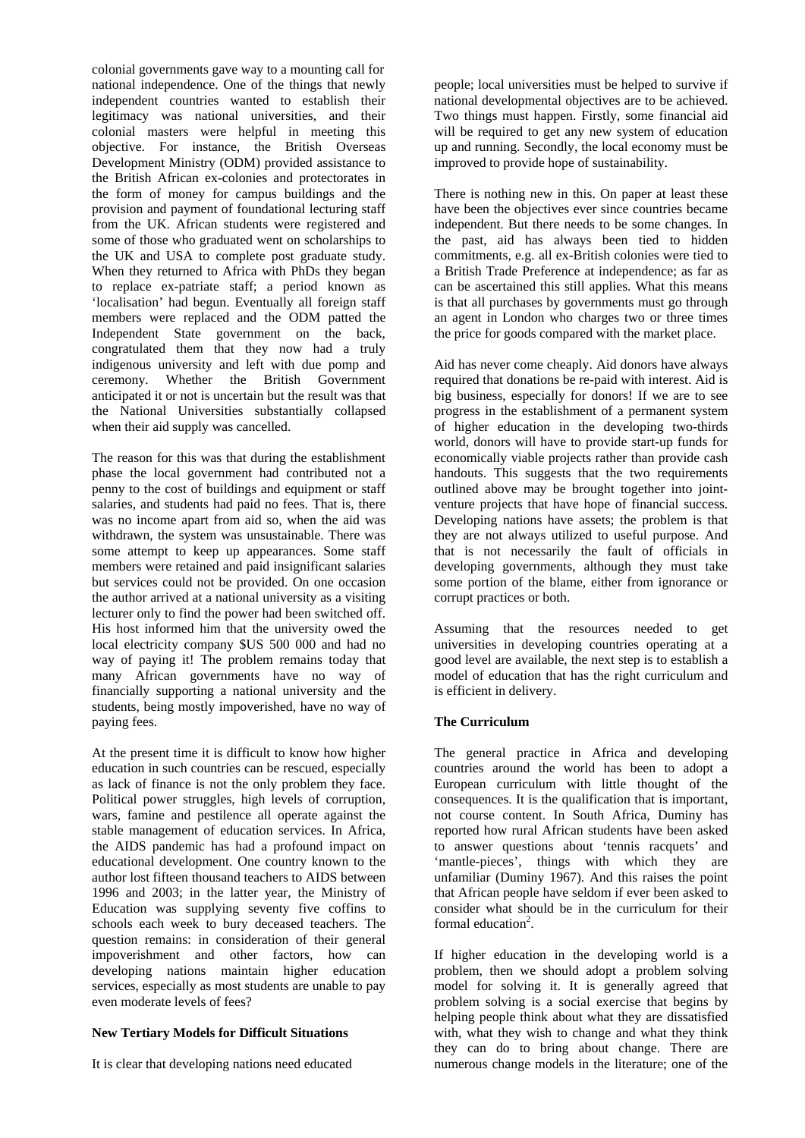colonial governments gave way to a mounting call for national independence. One of the things that newly independent countries wanted to establish their legitimacy was national universities, and their colonial masters were helpful in meeting this objective. For instance, the British Overseas Development Ministry (ODM) provided assistance to the British African ex-colonies and protectorates in the form of money for campus buildings and the provision and payment of foundational lecturing staff from the UK. African students were registered and some of those who graduated went on scholarships to the UK and USA to complete post graduate study. When they returned to Africa with PhDs they began to replace ex-patriate staff; a period known as 'localisation' had begun. Eventually all foreign staff members were replaced and the ODM patted the Independent State government on the back, congratulated them that they now had a truly indigenous university and left with due pomp and ceremony. Whether the British Government anticipated it or not is uncertain but the result was that the National Universities substantially collapsed when their aid supply was cancelled.

The reason for this was that during the establishment phase the local government had contributed not a penny to the cost of buildings and equipment or staff salaries, and students had paid no fees. That is, there was no income apart from aid so, when the aid was withdrawn, the system was unsustainable. There was some attempt to keep up appearances. Some staff members were retained and paid insignificant salaries but services could not be provided. On one occasion the author arrived at a national university as a visiting lecturer only to find the power had been switched off. His host informed him that the university owed the local electricity company \$US 500 000 and had no way of paying it! The problem remains today that many African governments have no way of financially supporting a national university and the students, being mostly impoverished, have no way of paying fees.

At the present time it is difficult to know how higher education in such countries can be rescued, especially as lack of finance is not the only problem they face. Political power struggles, high levels of corruption, wars, famine and pestilence all operate against the stable management of education services. In Africa, the AIDS pandemic has had a profound impact on educational development. One country known to the author lost fifteen thousand teachers to AIDS between 1996 and 2003; in the latter year, the Ministry of Education was supplying seventy five coffins to schools each week to bury deceased teachers. The question remains: in consideration of their general impoverishment and other factors, how can developing nations maintain higher education services, especially as most students are unable to pay even moderate levels of fees?

## **New Tertiary Models for Difficult Situations**

It is clear that developing nations need educated

people; local universities must be helped to survive if national developmental objectives are to be achieved. Two things must happen. Firstly, some financial aid will be required to get any new system of education up and running. Secondly, the local economy must be improved to provide hope of sustainability.

There is nothing new in this. On paper at least these have been the objectives ever since countries became independent. But there needs to be some changes. In the past, aid has always been tied to hidden commitments, e.g. all ex-British colonies were tied to a British Trade Preference at independence; as far as can be ascertained this still applies. What this means is that all purchases by governments must go through an agent in London who charges two or three times the price for goods compared with the market place.

Aid has never come cheaply. Aid donors have always required that donations be re-paid with interest. Aid is big business, especially for donors! If we are to see progress in the establishment of a permanent system of higher education in the developing two-thirds world, donors will have to provide start-up funds for economically viable projects rather than provide cash handouts. This suggests that the two requirements outlined above may be brought together into jointventure projects that have hope of financial success. Developing nations have assets; the problem is that they are not always utilized to useful purpose. And that is not necessarily the fault of officials in developing governments, although they must take some portion of the blame, either from ignorance or corrupt practices or both.

Assuming that the resources needed to get universities in developing countries operating at a good level are available, the next step is to establish a model of education that has the right curriculum and is efficient in delivery.

## **The Curriculum**

The general practice in Africa and developing countries around the world has been to adopt a European curriculum with little thought of the consequences. It is the qualification that is important, not course content. In South Africa, Duminy has reported how rural African students have been asked to answer questions about 'tennis racquets' and 'mantle-pieces', things with which they are unfamiliar (Duminy 1967). And this raises the point that African people have seldom if ever been asked to consider what should be in the curriculum for their formal education<sup>2</sup>.

If higher education in the developing world is a problem, then we should adopt a problem solving model for solving it. It is generally agreed that problem solving is a social exercise that begins by helping people think about what they are dissatisfied with, what they wish to change and what they think they can do to bring about change. There are numerous change models in the literature; one of the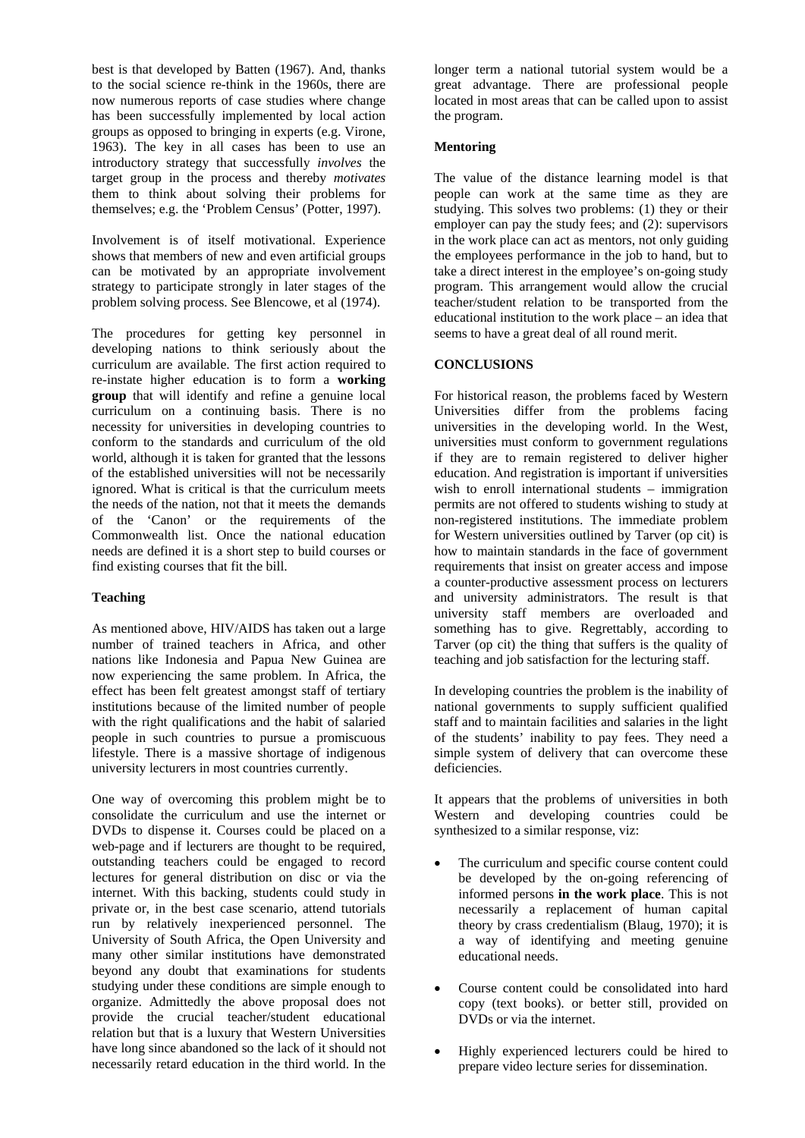best is that developed by Batten (1967). And, thanks to the social science re-think in the 1960s, there are now numerous reports of case studies where change has been successfully implemented by local action groups as opposed to bringing in experts (e.g. Virone, 1963). The key in all cases has been to use an introductory strategy that successfully *involves* the target group in the process and thereby *motivates* them to think about solving their problems for themselves; e.g. the 'Problem Census' (Potter, 1997).

Involvement is of itself motivational. Experience shows that members of new and even artificial groups can be motivated by an appropriate involvement strategy to participate strongly in later stages of the problem solving process. See Blencowe, et al (1974).

The procedures for getting key personnel in developing nations to think seriously about the curriculum are available. The first action required to re-instate higher education is to form a **working group** that will identify and refine a genuine local curriculum on a continuing basis. There is no necessity for universities in developing countries to conform to the standards and curriculum of the old world, although it is taken for granted that the lessons of the established universities will not be necessarily ignored. What is critical is that the curriculum meets the needs of the nation, not that it meets the demands of the 'Canon' or the requirements of the Commonwealth list. Once the national education needs are defined it is a short step to build courses or find existing courses that fit the bill.

## **Teaching**

As mentioned above, HIV/AIDS has taken out a large number of trained teachers in Africa, and other nations like Indonesia and Papua New Guinea are now experiencing the same problem. In Africa, the effect has been felt greatest amongst staff of tertiary institutions because of the limited number of people with the right qualifications and the habit of salaried people in such countries to pursue a promiscuous lifestyle. There is a massive shortage of indigenous university lecturers in most countries currently.

One way of overcoming this problem might be to consolidate the curriculum and use the internet or DVDs to dispense it. Courses could be placed on a web-page and if lecturers are thought to be required, outstanding teachers could be engaged to record lectures for general distribution on disc or via the internet. With this backing, students could study in private or, in the best case scenario, attend tutorials run by relatively inexperienced personnel. The University of South Africa, the Open University and many other similar institutions have demonstrated beyond any doubt that examinations for students studying under these conditions are simple enough to organize. Admittedly the above proposal does not provide the crucial teacher/student educational relation but that is a luxury that Western Universities have long since abandoned so the lack of it should not necessarily retard education in the third world. In the

longer term a national tutorial system would be a great advantage. There are professional people located in most areas that can be called upon to assist the program.

#### **Mentoring**

The value of the distance learning model is that people can work at the same time as they are studying. This solves two problems: (1) they or their employer can pay the study fees; and (2): supervisors in the work place can act as mentors, not only guiding the employees performance in the job to hand, but to take a direct interest in the employee's on-going study program. This arrangement would allow the crucial teacher/student relation to be transported from the educational institution to the work place – an idea that seems to have a great deal of all round merit.

#### **CONCLUSIONS**

For historical reason, the problems faced by Western Universities differ from the problems facing universities in the developing world. In the West, universities must conform to government regulations if they are to remain registered to deliver higher education. And registration is important if universities wish to enroll international students – immigration permits are not offered to students wishing to study at non-registered institutions. The immediate problem for Western universities outlined by Tarver (op cit) is how to maintain standards in the face of government requirements that insist on greater access and impose a counter-productive assessment process on lecturers and university administrators. The result is that university staff members are overloaded and something has to give. Regrettably, according to Tarver (op cit) the thing that suffers is the quality of teaching and job satisfaction for the lecturing staff.

In developing countries the problem is the inability of national governments to supply sufficient qualified staff and to maintain facilities and salaries in the light of the students' inability to pay fees. They need a simple system of delivery that can overcome these deficiencies.

It appears that the problems of universities in both Western and developing countries could be synthesized to a similar response, viz:

- The curriculum and specific course content could be developed by the on-going referencing of informed persons **in the work place**. This is not necessarily a replacement of human capital theory by crass credentialism (Blaug, 1970); it is a way of identifying and meeting genuine educational needs.
- Course content could be consolidated into hard copy (text books). or better still, provided on DVDs or via the internet.
- Highly experienced lecturers could be hired to prepare video lecture series for dissemination.